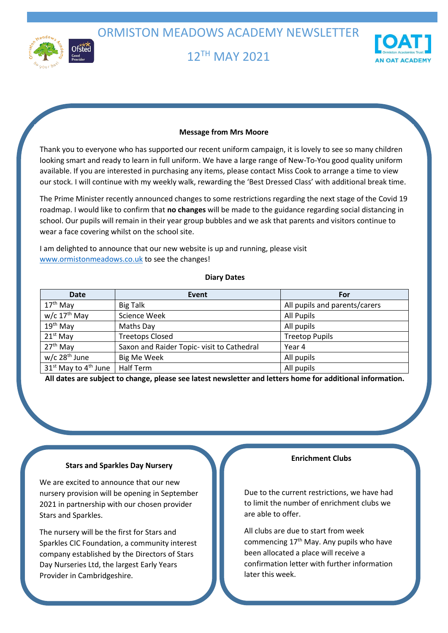ORMISTON MEADOWS ACADEMY NEWSLETTER



12 TH MAY 2021



## **Message from Mrs Moore**

Thank you to everyone who has supported our recent uniform campaign, it is lovely to see so many children looking smart and ready to learn in full uniform. We have a large range of New-To-You good quality uniform available. If you are interested in purchasing any items, please contact Miss Cook to arrange a time to view our stock. I will continue with my weekly walk, rewarding the 'Best Dressed Class' with additional break time.

The Prime Minister recently announced changes to some restrictions regarding the next stage of the Covid 19 roadmap. I would like to confirm that **no changes** will be made to the guidance regarding social distancing in school. Our pupils will remain in their year group bubbles and we ask that parents and visitors continue to wear a face covering whilst on the school site.

I am delighted to announce that our new website is up and running, please visit [www.ormistonmeadows.co.uk](http://www.ormistonmeadows.co.uk/) to see the changes!

#### **Diary Dates**

| Date                                         | Event                                      | For                           |
|----------------------------------------------|--------------------------------------------|-------------------------------|
| $17th$ May                                   | <b>Big Talk</b>                            | All pupils and parents/carers |
| $w/c$ 17 <sup>th</sup> May                   | <b>Science Week</b>                        | <b>All Pupils</b>             |
| $19th$ May                                   | Maths Day                                  | All pupils                    |
| $21^{st}$ May                                | <b>Treetops Closed</b>                     | <b>Treetop Pupils</b>         |
| $27th$ May                                   | Saxon and Raider Topic- visit to Cathedral | Year 4                        |
| $w/c$ 28 <sup>th</sup> June                  | <b>Big Me Week</b>                         | All pupils                    |
| 31 <sup>st</sup> May to 4 <sup>th</sup> June | <b>Half Term</b>                           | All pupils                    |

**All dates are subject to change, please see latest newsletter and letters home for additional information.**

#### **Stars and Sparkles Day Nursery**

We are excited to announce that our new nursery provision will be opening in September 2021 in partnership with our chosen provider Stars and Sparkles.

The nursery will be the first for Stars and Sparkles CIC Foundation, a community interest company established by the Directors of Stars Day Nurseries Ltd, the largest Early Years Provider in Cambridgeshire.

## **Enrichment Clubs**

Due to the current restrictions, we have had to limit the number of enrichment clubs we are able to offer.

All clubs are due to start from week commencing  $17<sup>th</sup>$  May. Any pupils who have been allocated a place will receive a confirmation letter with further information later this week.